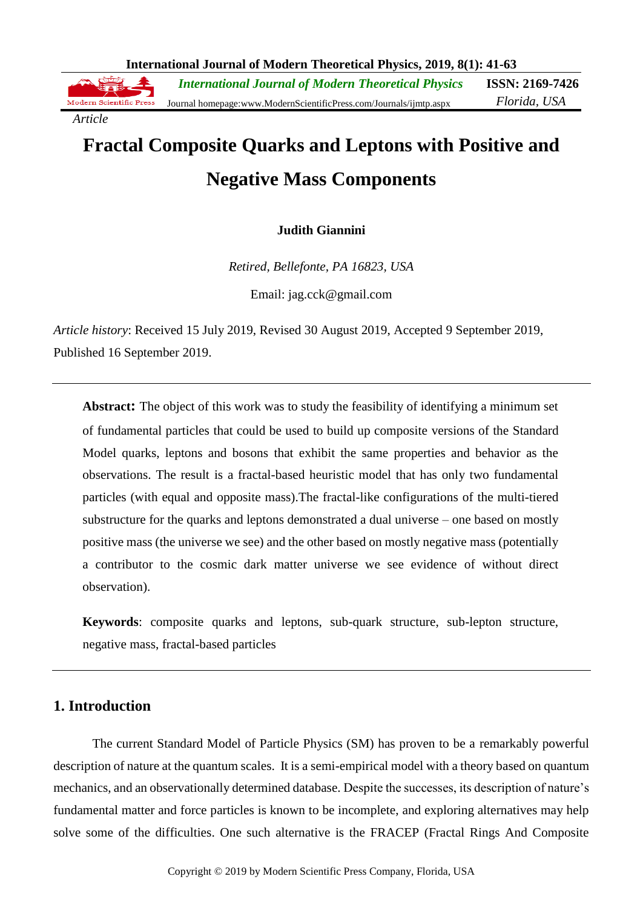**International Journal of Modern Theoretical Physics, 2019, 8(1): 41-63**

**ISSN: 2169-7426** *International Journal of Modern Theoretical Physics* Modern Scientific Press *Florida, USA* Journal homepage:www.ModernScientificPress.com/Journals/ijmtp.aspx

*Article*

# **Fractal Composite Quarks and Leptons with Positive and Negative Mass Components**

# **Judith Giannini**

*Retired, Bellefonte, PA 16823, USA*

Email: jag.cck@gmail.com

*Article history*: Received 15 July 2019, Revised 30 August 2019, Accepted 9 September 2019, Published 16 September 2019.

**Abstract:** The object of this work was to study the feasibility of identifying a minimum set of fundamental particles that could be used to build up composite versions of the Standard Model quarks, leptons and bosons that exhibit the same properties and behavior as the observations. The result is a fractal-based heuristic model that has only two fundamental particles (with equal and opposite mass).The fractal-like configurations of the multi-tiered substructure for the quarks and leptons demonstrated a dual universe – one based on mostly positive mass (the universe we see) and the other based on mostly negative mass (potentially a contributor to the cosmic dark matter universe we see evidence of without direct observation).

**Keywords**: composite quarks and leptons, sub-quark structure, sub-lepton structure, negative mass, fractal-based particles

# **1. Introduction**

The current Standard Model of Particle Physics (SM) has proven to be a remarkably powerful description of nature at the quantum scales. It is a semi-empirical model with a theory based on quantum mechanics, and an observationally determined database. Despite the successes, its description of nature's fundamental matter and force particles is known to be incomplete, and exploring alternatives may help solve some of the difficulties. One such alternative is the FRACEP (Fractal Rings And Composite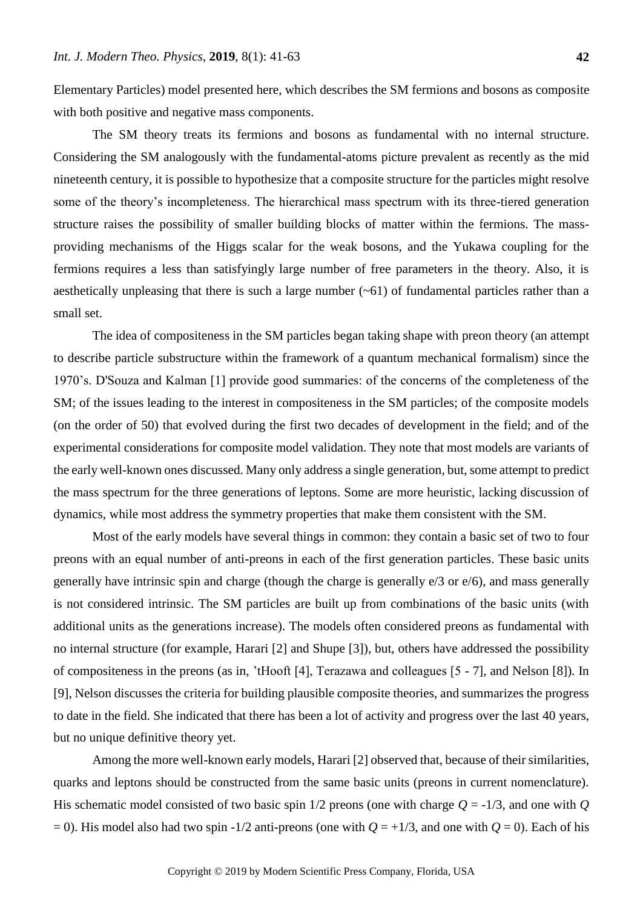Elementary Particles) model presented here, which describes the SM fermions and bosons as composite with both positive and negative mass components.

The SM theory treats its fermions and bosons as fundamental with no internal structure. Considering the SM analogously with the fundamental-atoms picture prevalent as recently as the mid nineteenth century, it is possible to hypothesize that a composite structure for the particles might resolve some of the theory's incompleteness. The hierarchical mass spectrum with its three-tiered generation structure raises the possibility of smaller building blocks of matter within the fermions. The massproviding mechanisms of the Higgs scalar for the weak bosons, and the Yukawa coupling for the fermions requires a less than satisfyingly large number of free parameters in the theory. Also, it is aesthetically unpleasing that there is such a large number  $(-61)$  of fundamental particles rather than a small set.

The idea of compositeness in the SM particles began taking shape with preon theory (an attempt to describe particle substructure within the framework of a quantum mechanical formalism) since the 1970's. D'Souza and Kalman [1] provide good summaries: of the concerns of the completeness of the SM; of the issues leading to the interest in compositeness in the SM particles; of the composite models (on the order of 50) that evolved during the first two decades of development in the field; and of the experimental considerations for composite model validation. They note that most models are variants of the early well-known ones discussed. Many only address a single generation, but, some attempt to predict the mass spectrum for the three generations of leptons. Some are more heuristic, lacking discussion of dynamics, while most address the symmetry properties that make them consistent with the SM.

Most of the early models have several things in common: they contain a basic set of two to four preons with an equal number of anti-preons in each of the first generation particles. These basic units generally have intrinsic spin and charge (though the charge is generally e/3 or e/6), and mass generally is not considered intrinsic. The SM particles are built up from combinations of the basic units (with additional units as the generations increase). The models often considered preons as fundamental with no internal structure (for example, Harari [2] and Shupe [3]), but, others have addressed the possibility of compositeness in the preons (as in, 'tHooft [4], Terazawa and colleagues [5 - 7], and Nelson [8]). In [9], Nelson discusses the criteria for building plausible composite theories, and summarizes the progress to date in the field. She indicated that there has been a lot of activity and progress over the last 40 years, but no unique definitive theory yet.

Among the more well-known early models, Harari [2] observed that, because of their similarities, quarks and leptons should be constructed from the same basic units (preons in current nomenclature). His schematic model consisted of two basic spin  $1/2$  preons (one with charge  $Q = -1/3$ , and one with  $Q$  $= 0$ ). His model also had two spin -1/2 anti-preons (one with  $Q = +1/3$ , and one with  $Q = 0$ ). Each of his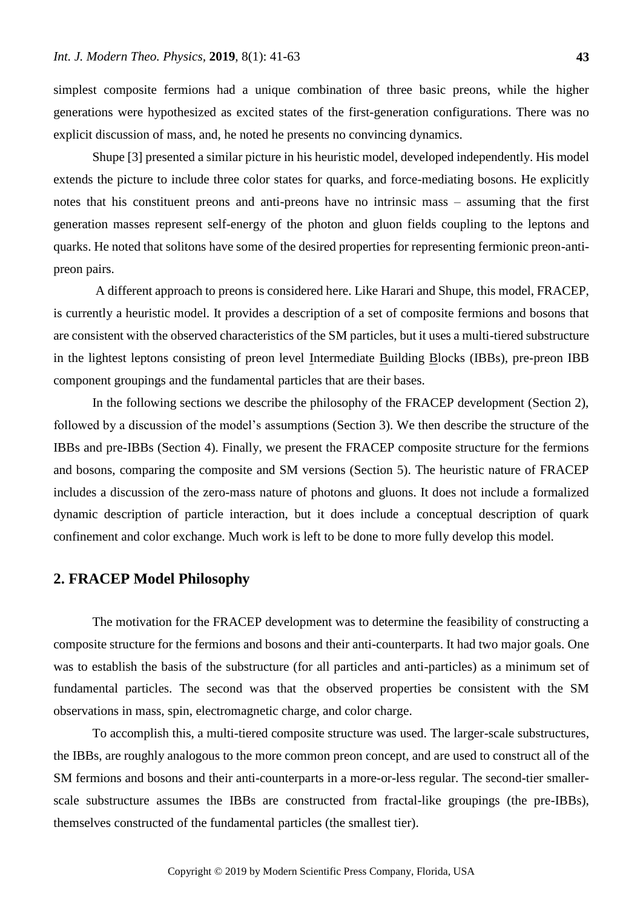simplest composite fermions had a unique combination of three basic preons, while the higher generations were hypothesized as excited states of the first-generation configurations. There was no explicit discussion of mass, and, he noted he presents no convincing dynamics.

Shupe [3] presented a similar picture in his heuristic model, developed independently. His model extends the picture to include three color states for quarks, and force-mediating bosons. He explicitly notes that his constituent preons and anti-preons have no intrinsic mass – assuming that the first generation masses represent self-energy of the photon and gluon fields coupling to the leptons and quarks. He noted that solitons have some of the desired properties for representing fermionic preon-antipreon pairs.

A different approach to preons is considered here. Like Harari and Shupe, this model, FRACEP, is currently a heuristic model. It provides a description of a set of composite fermions and bosons that are consistent with the observed characteristics of the SM particles, but it uses a multi-tiered substructure in the lightest leptons consisting of preon level Intermediate Building Blocks (IBBs), pre-preon IBB component groupings and the fundamental particles that are their bases.

In the following sections we describe the philosophy of the FRACEP development (Section 2), followed by a discussion of the model's assumptions (Section 3). We then describe the structure of the IBBs and pre-IBBs (Section 4). Finally, we present the FRACEP composite structure for the fermions and bosons, comparing the composite and SM versions (Section 5). The heuristic nature of FRACEP includes a discussion of the zero-mass nature of photons and gluons. It does not include a formalized dynamic description of particle interaction, but it does include a conceptual description of quark confinement and color exchange. Much work is left to be done to more fully develop this model.

# **2. FRACEP Model Philosophy**

The motivation for the FRACEP development was to determine the feasibility of constructing a composite structure for the fermions and bosons and their anti-counterparts. It had two major goals. One was to establish the basis of the substructure (for all particles and anti-particles) as a minimum set of fundamental particles. The second was that the observed properties be consistent with the SM observations in mass, spin, electromagnetic charge, and color charge.

To accomplish this, a multi-tiered composite structure was used. The larger-scale substructures, the IBBs, are roughly analogous to the more common preon concept, and are used to construct all of the SM fermions and bosons and their anti-counterparts in a more-or-less regular. The second-tier smallerscale substructure assumes the IBBs are constructed from fractal-like groupings (the pre-IBBs), themselves constructed of the fundamental particles (the smallest tier).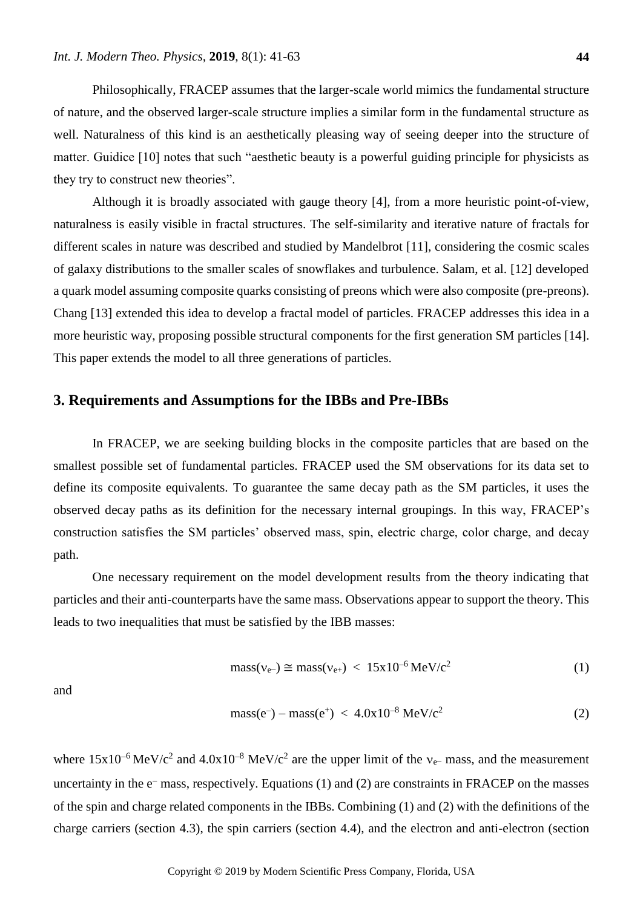Philosophically, FRACEP assumes that the larger-scale world mimics the fundamental structure of nature, and the observed larger-scale structure implies a similar form in the fundamental structure as well. Naturalness of this kind is an aesthetically pleasing way of seeing deeper into the structure of matter. Guidice [10] notes that such "aesthetic beauty is a powerful guiding principle for physicists as they try to construct new theories".

Although it is broadly associated with gauge theory [4], from a more heuristic point-of-view, naturalness is easily visible in fractal structures. The self-similarity and iterative nature of fractals for different scales in nature was described and studied by Mandelbrot [11], considering the cosmic scales of galaxy distributions to the smaller scales of snowflakes and turbulence. Salam, et al. [12] developed a quark model assuming composite quarks consisting of preons which were also composite (pre-preons). Chang [13] extended this idea to develop a fractal model of particles. FRACEP addresses this idea in a more heuristic way, proposing possible structural components for the first generation SM particles [14]. This paper extends the model to all three generations of particles.

# **3. Requirements and Assumptions for the IBBs and Pre-IBBs**

In FRACEP, we are seeking building blocks in the composite particles that are based on the smallest possible set of fundamental particles. FRACEP used the SM observations for its data set to define its composite equivalents. To guarantee the same decay path as the SM particles, it uses the observed decay paths as its definition for the necessary internal groupings. In this way, FRACEP's construction satisfies the SM particles' observed mass, spin, electric charge, color charge, and decay path.

One necessary requirement on the model development results from the theory indicating that particles and their anti-counterparts have the same mass. Observations appear to support the theory. This leads to two inequalities that must be satisfied by the IBB masses:

$$
mass(v_{e-}) \cong mass(v_{e+}) < 15x10^{-6} \text{ MeV}/c^2
$$
 (1)

and

$$
mass(e^-) - mass(e^+) < 4.0x10^{-8} \,\text{MeV}/c^2 \tag{2}
$$

where  $15x10^{-6}$  MeV/c<sup>2</sup> and  $4.0x10^{-8}$  MeV/c<sup>2</sup> are the upper limit of the v<sub>e</sub>-mass, and the measurement uncertainty in the  $e^-$  mass, respectively. Equations (1) and (2) are constraints in FRACEP on the masses of the spin and charge related components in the IBBs. Combining (1) and (2) with the definitions of the charge carriers (section 4.3), the spin carriers (section 4.4), and the electron and anti-electron (section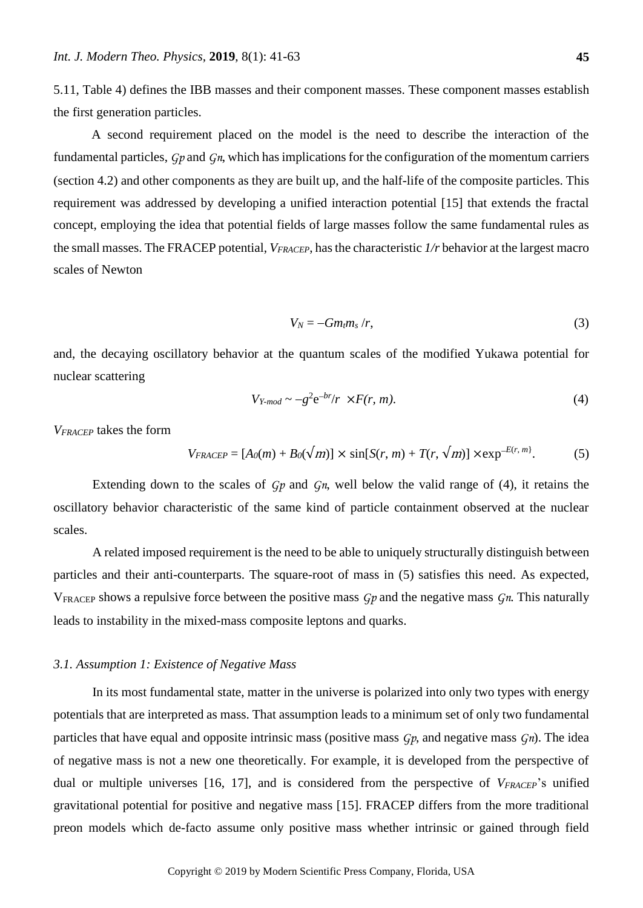5.11, Table 4) defines the IBB masses and their component masses. These component masses establish the first generation particles.

A second requirement placed on the model is the need to describe the interaction of the fundamental particles, *Gp* and *Gn*, which has implications for the configuration of the momentum carriers (section 4.2) and other components as they are built up, and the half-life of the composite particles. This requirement was addressed by developing a unified interaction potential [15] that extends the fractal concept, employing the idea that potential fields of large masses follow the same fundamental rules as the small masses. The FRACEP potential, *VFRACEP*, has the characteristic *1/r* behavior at the largest macro scales of Newton

$$
V_N = -Gm_t m_s / r, \qquad (3)
$$

and, the decaying oscillatory behavior at the quantum scales of the modified Yukawa potential for nuclear scattering

$$
V_{Y-mod} \sim -g^2 e^{-br/r} \times F(r, m). \tag{4}
$$

*VFRACEP* takes the form

$$
V_{FRACEP} = [A_0(m) + B_0(\sqrt{m})] \times \sin[S(r, m) + T(r, \sqrt{m})] \times \exp^{-E(r, m)}.
$$
 (5)

Extending down to the scales of *Gp* and *Gn*, well below the valid range of (4), it retains the oscillatory behavior characteristic of the same kind of particle containment observed at the nuclear scales.

A related imposed requirement is the need to be able to uniquely structurally distinguish between particles and their anti-counterparts. The square-root of mass in (5) satisfies this need. As expected, VFRACEP shows a repulsive force between the positive mass *Gp* and the negative mass *Gn*. This naturally leads to instability in the mixed-mass composite leptons and quarks.

## *3.1. Assumption 1: Existence of Negative Mass*

In its most fundamental state, matter in the universe is polarized into only two types with energy potentials that are interpreted as mass. That assumption leads to a minimum set of only two fundamental particles that have equal and opposite intrinsic mass (positive mass *Gp*, and negative mass *Gn*). The idea of negative mass is not a new one theoretically. For example, it is developed from the perspective of dual or multiple universes [16, 17], and is considered from the perspective of *VFRACEP*'s unified gravitational potential for positive and negative mass [15]. FRACEP differs from the more traditional preon models which de-facto assume only positive mass whether intrinsic or gained through field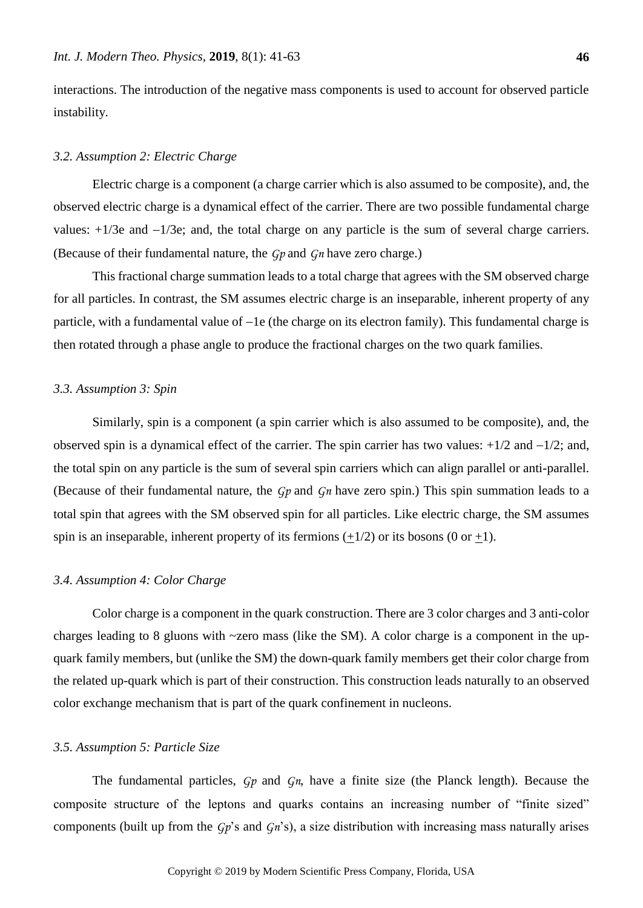interactions. The introduction of the negative mass components is used to account for observed particle instability.

#### *3.2. Assumption 2: Electric Charge*

Electric charge is a component (a charge carrier which is also assumed to be composite), and, the observed electric charge is a dynamical effect of the carrier. There are two possible fundamental charge values:  $+1/3e$  and  $-1/3e$ ; and, the total charge on any particle is the sum of several charge carriers. (Because of their fundamental nature, the *Gp* and *Gn* have zero charge.)

This fractional charge summation leads to a total charge that agrees with the SM observed charge for all particles. In contrast, the SM assumes electric charge is an inseparable, inherent property of any particle, with a fundamental value of  $-1e$  (the charge on its electron family). This fundamental charge is then rotated through a phase angle to produce the fractional charges on the two quark families.

## *3.3. Assumption 3: Spin*

Similarly, spin is a component (a spin carrier which is also assumed to be composite), and, the observed spin is a dynamical effect of the carrier. The spin carrier has two values:  $+1/2$  and  $-1/2$ ; and, the total spin on any particle is the sum of several spin carriers which can align parallel or anti-parallel. (Because of their fundamental nature, the *Gp* and *Gn* have zero spin.) This spin summation leads to a total spin that agrees with the SM observed spin for all particles. Like electric charge, the SM assumes spin is an inseparable, inherent property of its fermions  $(\pm 1/2)$  or its bosons (0 or  $\pm 1$ ).

#### *3.4. Assumption 4: Color Charge*

Color charge is a component in the quark construction. There are 3 color charges and 3 anti-color charges leading to 8 gluons with ~zero mass (like the SM). A color charge is a component in the upquark family members, but (unlike the SM) the down-quark family members get their color charge from the related up-quark which is part of their construction. This construction leads naturally to an observed color exchange mechanism that is part of the quark confinement in nucleons.

## *3.5. Assumption 5: Particle Size*

The fundamental particles, *Gp* and *Gn*, have a finite size (the Planck length). Because the composite structure of the leptons and quarks contains an increasing number of "finite sized" components (built up from the *Gp*'s and *Gn*'s), a size distribution with increasing mass naturally arises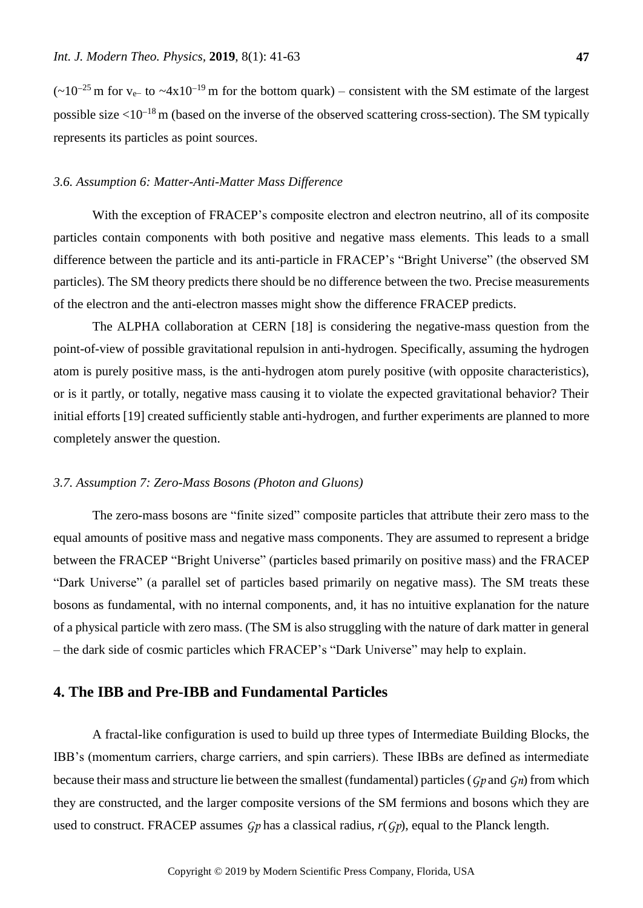$(-10^{-25} \text{ m for v}_{e}$  to  $-4x10^{-19} \text{ m for the bottom quark})$  – consistent with the SM estimate of the largest possible size  $\langle 10^{-18} \text{m}$  (based on the inverse of the observed scattering cross-section). The SM typically represents its particles as point sources.

## *3.6. Assumption 6: Matter-Anti-Matter Mass Difference*

With the exception of FRACEP's composite electron and electron neutrino, all of its composite particles contain components with both positive and negative mass elements. This leads to a small difference between the particle and its anti-particle in FRACEP's "Bright Universe" (the observed SM particles). The SM theory predicts there should be no difference between the two. Precise measurements of the electron and the anti-electron masses might show the difference FRACEP predicts.

The ALPHA collaboration at CERN [18] is considering the negative-mass question from the point-of-view of possible gravitational repulsion in anti-hydrogen. Specifically, assuming the hydrogen atom is purely positive mass, is the anti-hydrogen atom purely positive (with opposite characteristics), or is it partly, or totally, negative mass causing it to violate the expected gravitational behavior? Their initial efforts [19] created sufficiently stable anti-hydrogen, and further experiments are planned to more completely answer the question.

## *3.7. Assumption 7: Zero-Mass Bosons (Photon and Gluons)*

The zero-mass bosons are "finite sized" composite particles that attribute their zero mass to the equal amounts of positive mass and negative mass components. They are assumed to represent a bridge between the FRACEP "Bright Universe" (particles based primarily on positive mass) and the FRACEP "Dark Universe" (a parallel set of particles based primarily on negative mass). The SM treats these bosons as fundamental, with no internal components, and, it has no intuitive explanation for the nature of a physical particle with zero mass. (The SM is also struggling with the nature of dark matter in general – the dark side of cosmic particles which FRACEP's "Dark Universe" may help to explain.

# **4. The IBB and Pre-IBB and Fundamental Particles**

A fractal-like configuration is used to build up three types of Intermediate Building Blocks, the IBB's (momentum carriers, charge carriers, and spin carriers). These IBBs are defined as intermediate because their mass and structure lie between the smallest (fundamental) particles (*Gp* and *Gn*) from which they are constructed, and the larger composite versions of the SM fermions and bosons which they are used to construct. FRACEP assumes *Gp* has a classical radius, *r*(*Gp*), equal to the Planck length.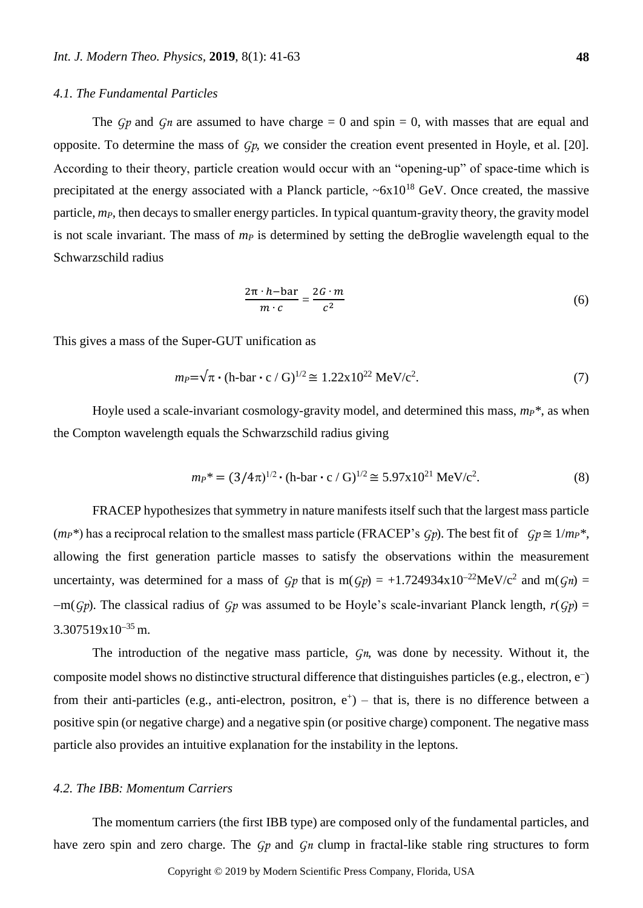## *4.1. The Fundamental Particles*

The  $G_p$  and  $G_n$  are assumed to have charge = 0 and spin = 0, with masses that are equal and opposite. To determine the mass of *Gp*, we consider the creation event presented in Hoyle, et al. [20]. According to their theory, particle creation would occur with an "opening-up" of space-time which is precipitated at the energy associated with a Planck particle, ~6x10<sup>18</sup> GeV. Once created, the massive particle, *mP*, then decays to smaller energy particles. In typical quantum-gravity theory, the gravity model is not scale invariant. The mass of *m<sup>P</sup>* is determined by setting the deBroglie wavelength equal to the Schwarzschild radius

$$
\frac{2\pi \cdot h - \text{bar}}{m \cdot c} = \frac{2G \cdot m}{c^2} \tag{6}
$$

This gives a mass of the Super-GUT unification as

$$
m_P = \sqrt{\pi} \cdot (\text{h-bar} \cdot \text{c} / \text{G})^{1/2} \cong 1.22 \times 10^{22} \text{ MeV}/\text{c}^2. \tag{7}
$$

Hoyle used a scale-invariant cosmology-gravity model, and determined this mass, *mP\**, as when the Compton wavelength equals the Schwarzschild radius giving

$$
m_P^* = (3/4\pi)^{1/2} \cdot (\text{h-bar} \cdot \text{c} / \text{G})^{1/2} \cong 5.97 \times 10^{21} \text{ MeV}/\text{c}^2. \tag{8}
$$

FRACEP hypothesizes that symmetry in nature manifests itself such that the largest mass particle  $(m_P^*)$  has a reciprocal relation to the smallest mass particle (FRACEP's *Gp*). The best fit of *Gp*  $\cong 1/m_P^*$ , allowing the first generation particle masses to satisfy the observations within the measurement uncertainty, was determined for a mass of  $Gp$  that is m( $Gp$ ) = +1.724934x10<sup>-22</sup>MeV/c<sup>2</sup> and m( $Gn$ ) =  $-m(Gp)$ . The classical radius of *Gp* was assumed to be Hoyle's scale-invariant Planck length,  $r(Gp)$  =  $3.307519x10^{-35}$  m.

The introduction of the negative mass particle, *Gn*, was done by necessity. Without it, the composite model shows no distinctive structural difference that distinguishes particles (e.g., electron, e ) from their anti-particles (e.g., anti-electron, positron,  $e^+$ ) – that is, there is no difference between a positive spin (or negative charge) and a negative spin (or positive charge) component. The negative mass particle also provides an intuitive explanation for the instability in the leptons.

## *4.2. The IBB: Momentum Carriers*

The momentum carriers (the first IBB type) are composed only of the fundamental particles, and have zero spin and zero charge. The *Gp* and *Gn* clump in fractal-like stable ring structures to form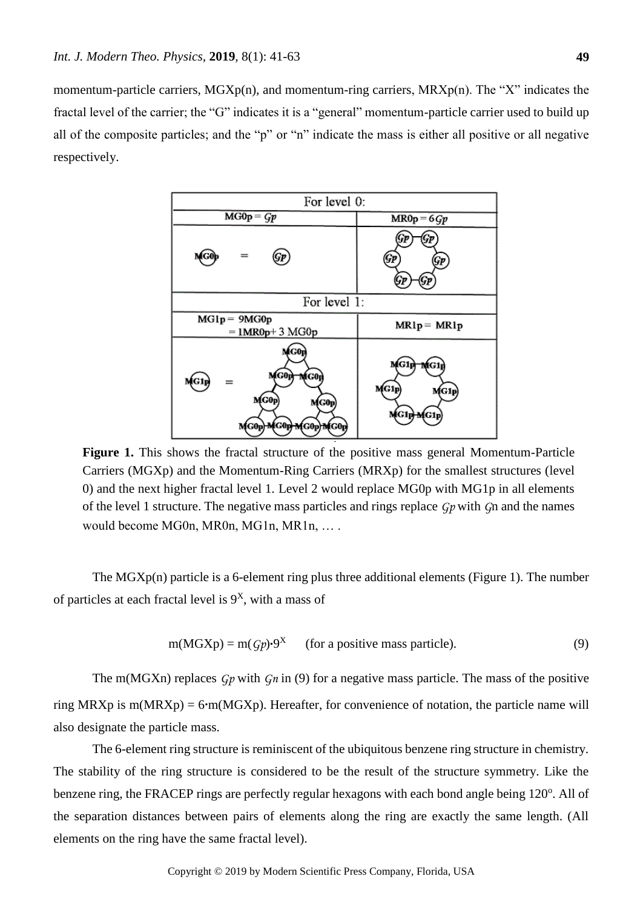momentum-particle carriers,  $MGXp(n)$ , and momentum-ring carriers,  $MRXp(n)$ . The "X" indicates the fractal level of the carrier; the "G" indicates it is a "general" momentum-particle carrier used to build up all of the composite particles; and the "p" or "n" indicate the mass is either all positive or all negative respectively.



**Figure 1.** This shows the fractal structure of the positive mass general Momentum-Particle Carriers (MGXp) and the Momentum-Ring Carriers (MRXp) for the smallest structures (level 0) and the next higher fractal level 1. Level 2 would replace MG0p with MG1p in all elements of the level 1 structure. The negative mass particles and rings replace *Gp* with *G*n and the names would become MG0n, MR0n, MG1n, MR1n, … .

The MGXp(n) particle is a 6-element ring plus three additional elements (Figure 1). The number of particles at each fractal level is  $9<sup>X</sup>$ , with a mass of

$$
m(MGXp) = m(Gp) \cdot 9^X
$$
 (for a positive mass particle). (9)

The m(MGXn) replaces *Gp* with *Gn* in (9) for a negative mass particle. The mass of the positive ring MRXp is m(MRXp) = 6**.**m(MGXp). Hereafter, for convenience of notation, the particle name will also designate the particle mass.

The 6-element ring structure is reminiscent of the ubiquitous benzene ring structure in chemistry. The stability of the ring structure is considered to be the result of the structure symmetry. Like the benzene ring, the FRACEP rings are perfectly regular hexagons with each bond angle being 120<sup>o</sup>. All of the separation distances between pairs of elements along the ring are exactly the same length. (All elements on the ring have the same fractal level).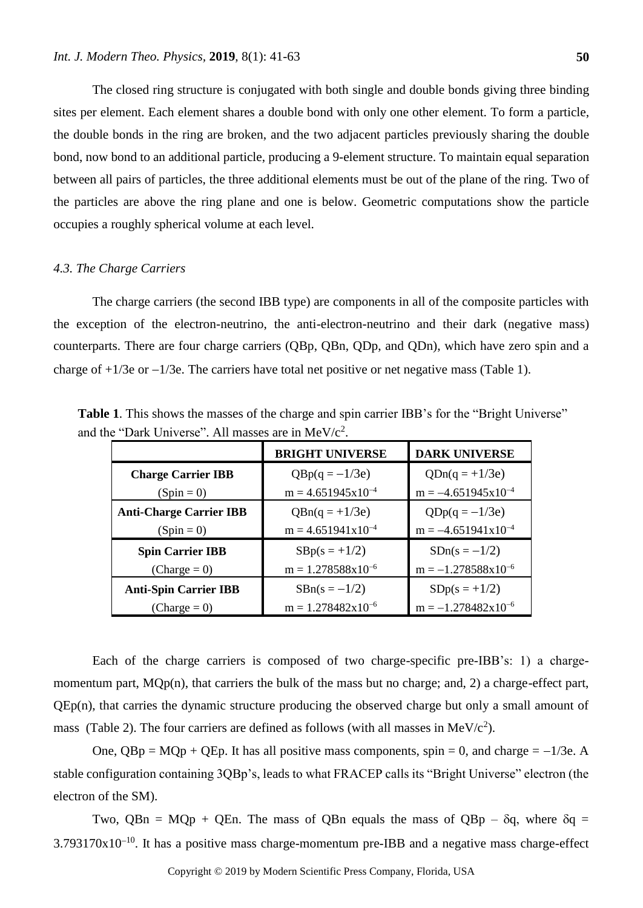The closed ring structure is conjugated with both single and double bonds giving three binding sites per element. Each element shares a double bond with only one other element. To form a particle, the double bonds in the ring are broken, and the two adjacent particles previously sharing the double bond, now bond to an additional particle, producing a 9-element structure. To maintain equal separation between all pairs of particles, the three additional elements must be out of the plane of the ring. Two of the particles are above the ring plane and one is below. Geometric computations show the particle occupies a roughly spherical volume at each level.

## *4.3. The Charge Carriers*

The charge carriers (the second IBB type) are components in all of the composite particles with the exception of the electron-neutrino, the anti-electron-neutrino and their dark (negative mass) counterparts. There are four charge carriers (QBp, QBn, QDp, and QDn), which have zero spin and a charge of  $+1/3e$  or  $-1/3e$ . The carriers have total net positive or net negative mass (Table 1).

**Table 1**. This shows the masses of the charge and spin carrier IBB's for the "Bright Universe" and the "Dark Universe". All masses are in  $MeV/c<sup>2</sup>$ .

| <b>BRIGHT UNIVERSE</b>         |                               | <b>DARK UNIVERSE</b>    |  |
|--------------------------------|-------------------------------|-------------------------|--|
| <b>Charge Carrier IBB</b>      | $QBp(q = -1/3e)$              | $QDn(q = +1/3e)$        |  |
| $(Spin = 0)$                   | $m = 4.651945x10^{-4}$        | $m = -4.651945x10^{-4}$ |  |
| <b>Anti-Charge Carrier IBB</b> | $QBn(q = +1/3e)$              | $QDp(q = -1/3e)$        |  |
| $(Spin = 0)$                   | $m = 4.651941x10^{-4}$        | $m = -4.651941x10^{-4}$ |  |
| <b>Spin Carrier IBB</b>        | $SBp(s = +1/2)$               | $SDn(s = -1/2)$         |  |
| $(Change = 0)$                 | $m = 1.278588 \times 10^{-6}$ | $m = -1.278588x10^{-6}$ |  |
| <b>Anti-Spin Carrier IBB</b>   | $SBn(s = -1/2)$               | $SDp(s = +1/2)$         |  |
| $(Change = 0)$                 | $m = 1.278482x10^{-6}$        | $m = -1.278482x10^{-6}$ |  |

Each of the charge carriers is composed of two charge-specific pre-IBB's: 1) a chargemomentum part, MQp(n), that carriers the bulk of the mass but no charge; and, 2) a charge-effect part, QEp(n), that carries the dynamic structure producing the observed charge but only a small amount of mass (Table 2). The four carriers are defined as follows (with all masses in  $MeV/c<sup>2</sup>$ ).

One,  $OBp = MOp + OEp$ . It has all positive mass components, spin = 0, and charge =  $-1/3e$ . A stable configuration containing 3QBp's, leads to what FRACEP calls its "Bright Universe" electron (the electron of the SM).

Two, QBn = MQp + QEn. The mass of QBn equals the mass of QBp –  $\delta q$ , where  $\delta q$  =  $3.793170x10^{-10}$ . It has a positive mass charge-momentum pre-IBB and a negative mass charge-effect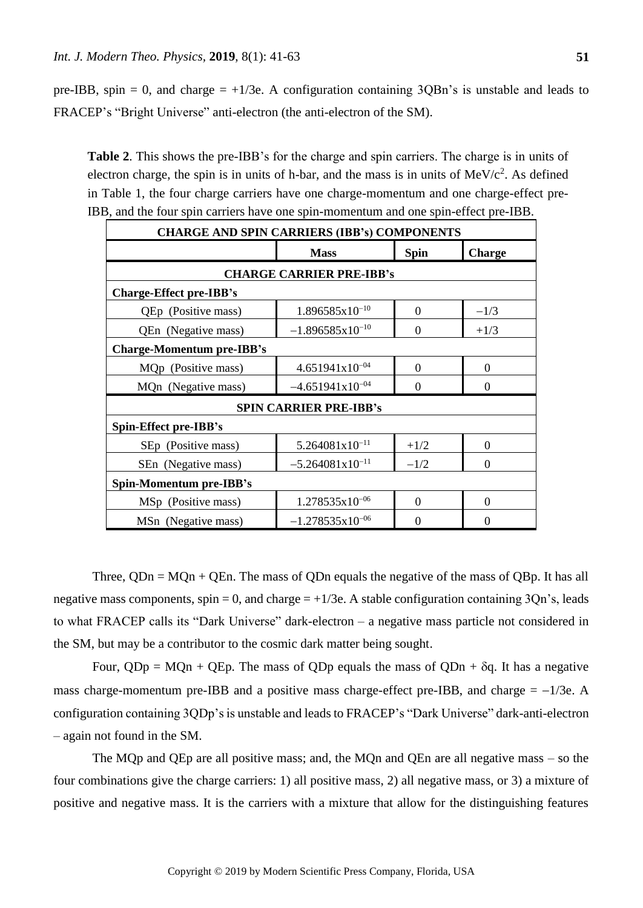pre-IBB, spin = 0, and charge =  $+1/3e$ . A configuration containing 3QBn's is unstable and leads to FRACEP's "Bright Universe" anti-electron (the anti-electron of the SM).

**Table 2**. This shows the pre-IBB's for the charge and spin carriers. The charge is in units of electron charge, the spin is in units of h-bar, and the mass is in units of  $MeV/c<sup>2</sup>$ . As defined in Table 1, the four charge carriers have one charge-momentum and one charge-effect pre-IBB, and the four spin carriers have one spin-momentum and one spin-effect pre-IBB.

| <b>CHARGE AND SPIN CARRIERS (IBB's) COMPONENTS</b> |                      |                  |                  |  |
|----------------------------------------------------|----------------------|------------------|------------------|--|
|                                                    | <b>Mass</b>          | <b>Spin</b>      | <b>Charge</b>    |  |
| <b>CHARGE CARRIER PRE-IBB's</b>                    |                      |                  |                  |  |
| <b>Charge-Effect pre-IBB's</b>                     |                      |                  |                  |  |
| QEp (Positive mass)                                | $1.896585x10^{-10}$  | $\overline{0}$   | $-1/3$           |  |
| QEn (Negative mass)                                | $-1.896585x10^{-10}$ | 0                | $+1/3$           |  |
| <b>Charge-Momentum pre-IBB's</b>                   |                      |                  |                  |  |
| MQp (Positive mass)                                | $4.651941x10^{-04}$  | $\overline{0}$   | $\overline{0}$   |  |
| MQn (Negative mass)                                | $-4.651941x10^{-04}$ | $\boldsymbol{0}$ | $\boldsymbol{0}$ |  |
| <b>SPIN CARRIER PRE-IBB's</b>                      |                      |                  |                  |  |
| Spin-Effect pre-IBB's                              |                      |                  |                  |  |
| SEp (Positive mass)                                | $5.264081x10^{-11}$  | $+1/2$           | $\theta$         |  |
| SEn (Negative mass)                                | $-5.264081x10^{-11}$ | $-1/2$           | $\theta$         |  |
| Spin-Momentum pre-IBB's                            |                      |                  |                  |  |
| MSp (Positive mass)                                | $1.278535x10^{-06}$  | $\theta$         | $\boldsymbol{0}$ |  |
| MSn (Negative mass)                                | $-1.278535x10^{-06}$ | 0                | 0                |  |

Three,  $QDn = MQn + QEn$ . The mass of  $QDn$  equals the negative of the mass of  $QBp$ . It has all negative mass components, spin = 0, and charge  $= +1/3e$ . A stable configuration containing 3Qn's, leads to what FRACEP calls its "Dark Universe" dark-electron – a negative mass particle not considered in the SM, but may be a contributor to the cosmic dark matter being sought.

Four,  $QDp = MQn + QEp$ . The mass of  $QDp$  equals the mass of  $QDn + \delta q$ . It has a negative mass charge-momentum pre-IBB and a positive mass charge-effect pre-IBB, and charge  $= -1/3e$ . A configuration containing 3QDp's is unstable and leads to FRACEP's "Dark Universe" dark-anti-electron – again not found in the SM.

The MQp and QEp are all positive mass; and, the MQn and QEn are all negative mass – so the four combinations give the charge carriers: 1) all positive mass, 2) all negative mass, or 3) a mixture of positive and negative mass. It is the carriers with a mixture that allow for the distinguishing features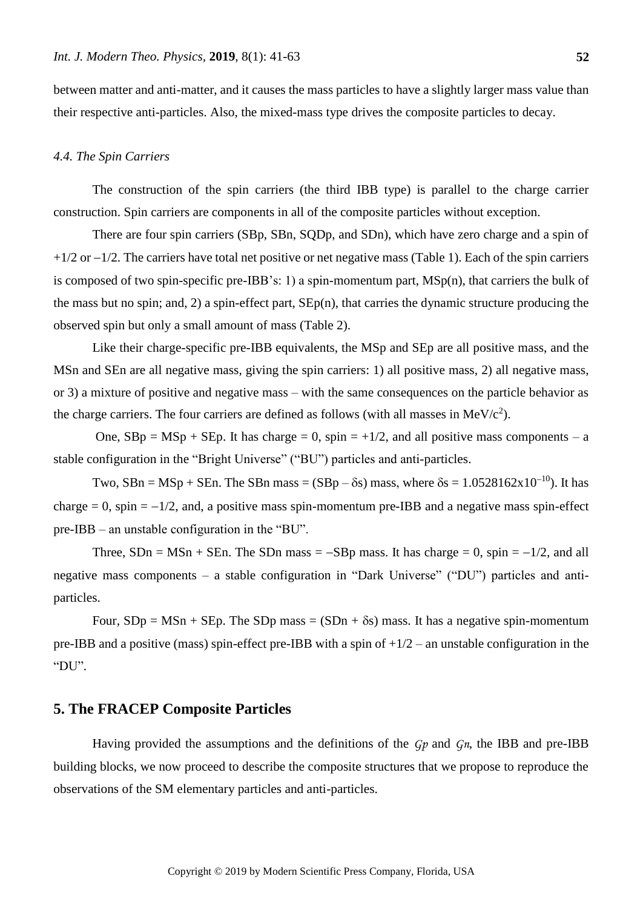between matter and anti-matter, and it causes the mass particles to have a slightly larger mass value than their respective anti-particles. Also, the mixed-mass type drives the composite particles to decay.

#### *4.4. The Spin Carriers*

The construction of the spin carriers (the third IBB type) is parallel to the charge carrier construction. Spin carriers are components in all of the composite particles without exception.

There are four spin carriers (SBp, SBn, SQDp, and SDn), which have zero charge and a spin of  $+1/2$  or  $-1/2$ . The carriers have total net positive or net negative mass (Table 1). Each of the spin carriers is composed of two spin-specific pre-IBB's: 1) a spin-momentum part, MSp(n), that carriers the bulk of the mass but no spin; and, 2) a spin-effect part, SEp(n), that carries the dynamic structure producing the observed spin but only a small amount of mass (Table 2).

Like their charge-specific pre-IBB equivalents, the MSp and SEp are all positive mass, and the MSn and SEn are all negative mass, giving the spin carriers: 1) all positive mass, 2) all negative mass, or 3) a mixture of positive and negative mass – with the same consequences on the particle behavior as the charge carriers. The four carriers are defined as follows (with all masses in  $MeV/c<sup>2</sup>$ ).

One,  $SBp = MSp + SEp$ . It has charge = 0, spin = +1/2, and all positive mass components – a stable configuration in the "Bright Universe" ("BU") particles and anti-particles.

Two, SBn = MSp + SEn. The SBn mass =  $(SBp - \delta s)$  mass, where  $\delta s = 1.0528162 \times 10^{-10}$ ). It has charge  $= 0$ , spin  $= -1/2$ , and, a positive mass spin-momentum pre-IBB and a negative mass spin-effect pre-IBB – an unstable configuration in the "BU".

Three,  $SDn = MSn + SEn$ . The SDn mass =  $-SBp$  mass. It has charge = 0, spin =  $-1/2$ , and all negative mass components – a stable configuration in "Dark Universe" ("DU") particles and antiparticles.

Four,  $SDp = MSn + SEp$ . The  $SDp$  mass =  $(SDn + \delta s)$  mass. It has a negative spin-momentum pre-IBB and a positive (mass) spin-effect pre-IBB with a spin of  $+1/2$  – an unstable configuration in the "DU".

# **5. The FRACEP Composite Particles**

Having provided the assumptions and the definitions of the *Gp* and *Gn*, the IBB and pre-IBB building blocks, we now proceed to describe the composite structures that we propose to reproduce the observations of the SM elementary particles and anti-particles.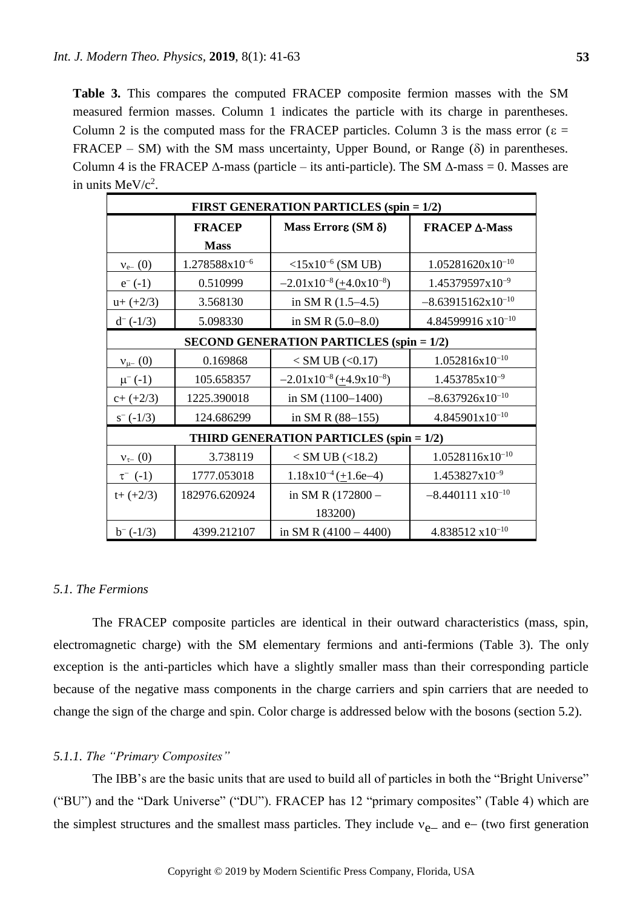**Table 3.** This compares the computed FRACEP composite fermion masses with the SM measured fermion masses. Column 1 indicates the particle with its charge in parentheses. Column 2 is the computed mass for the FRACEP particles. Column 3 is the mass error ( $\varepsilon$  =  $FRACEP - SM$ ) with the SM mass uncertainty, Upper Bound, or Range ( $\delta$ ) in parentheses. Column 4 is the FRACEP  $\Delta$ -mass (particle – its anti-particle). The SM  $\Delta$ -mass = 0. Masses are in units  $MeV/c<sup>2</sup>$ .

| <b>FIRST GENERATION PARTICLES (spin = 1/2)</b> |                    |                                                 |                              |  |
|------------------------------------------------|--------------------|-------------------------------------------------|------------------------------|--|
|                                                | <b>FRACEP</b>      | Mass Errore (SM $\delta$ )                      | <b>FRACEP A-Mass</b>         |  |
|                                                | <b>Mass</b>        |                                                 |                              |  |
| $v_{e-} (0)$                                   | $1.278588x10^{-6}$ | $<15x10^{-6}$ (SM UB)                           | $1.05281620x10^{-10}$        |  |
| $e^{-}(-1)$                                    | 0.510999           | $-2.01x10^{-8}$ ( $\pm$ 4.0x10 <sup>-8</sup> )  | $1.45379597x10^{-9}$         |  |
| $u+ (+2/3)$                                    | 3.568130           | in SM R $(1.5-4.5)$                             | $-8.63915162x10^{-10}$       |  |
| $d^-(-1/3)$                                    | 5.098330           | in SM R $(5.0-8.0)$                             | $4.84599916 \times 10^{-10}$ |  |
|                                                |                    | <b>SECOND GENERATION PARTICLES (spin = 1/2)</b> |                              |  |
| $v_{\mu-}$ (0)                                 | 0.169868           | $<$ SM UB $(<$ 0.17)                            | $1.052816x10^{-10}$          |  |
| $\mu^{-}(-1)$                                  | 105.658357         | $-2.01x10^{-8}$ ( $\pm$ 4.9x10 <sup>-8</sup> )  | $1.453785 \times 10^{-9}$    |  |
| $c+(+2/3)$                                     | 1225.390018        | in SM (1100-1400)                               | $-8.637926 \times 10^{-10}$  |  |
| $s^{-}$ (-1/3)                                 | 124.686299         | in SM R $(88-155)$                              | $4.845901x10^{-10}$          |  |
|                                                |                    | THIRD GENERATION PARTICLES (spin = 1/2)         |                              |  |
| $v_{\tau-}$ (0)                                | 3.738119           | $<$ SM UB ( $<$ 18.2)                           | $1.0528116x10^{-10}$         |  |
| $\tau^{-}$ (-1)                                | 1777.053018        | $1.18x10^{-4} (\pm 1.6e-4)$                     | $1.453827x10^{-9}$           |  |
| $t+(+2/3)$                                     | 182976.620924      | in SM R (172800 -                               | $-8.440111 \times 10^{-10}$  |  |
|                                                |                    | 183200)                                         |                              |  |
| $b^{-}$ (-1/3)                                 | 4399.212107        | in SM R $(4100 - 4400)$                         | $4.838512 \times 10^{-10}$   |  |

# *5.1. The Fermions*

The FRACEP composite particles are identical in their outward characteristics (mass, spin, electromagnetic charge) with the SM elementary fermions and anti-fermions (Table 3). The only exception is the anti-particles which have a slightly smaller mass than their corresponding particle because of the negative mass components in the charge carriers and spin carriers that are needed to change the sign of the charge and spin. Color charge is addressed below with the bosons (section 5.2).

## *5.1.1. The "Primary Composites"*

The IBB's are the basic units that are used to build all of particles in both the "Bright Universe" ("BU") and the "Dark Universe" ("DU"). FRACEP has 12 "primary composites" (Table 4) which are the simplest structures and the smallest mass particles. They include  $v_{e-}$  and e- (two first generation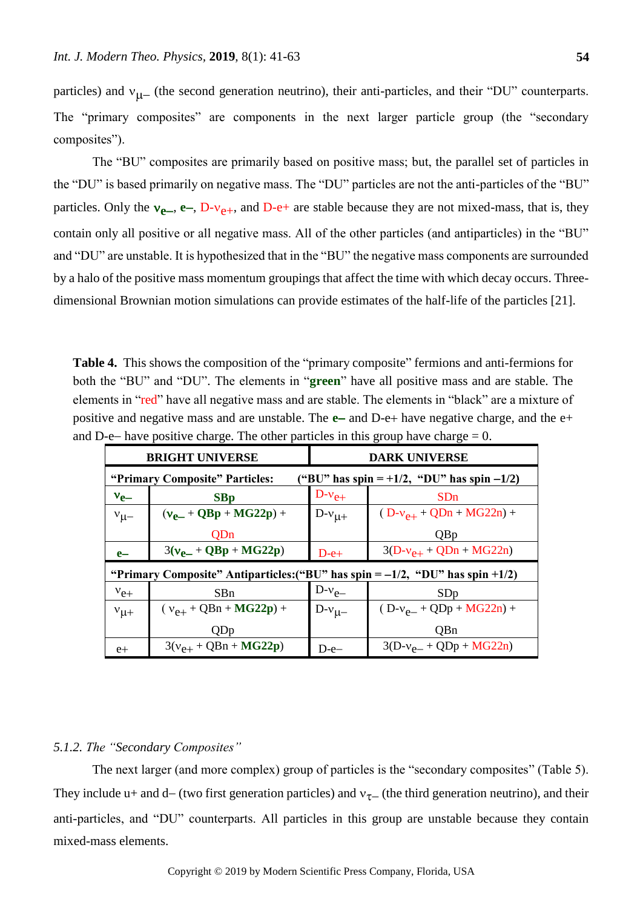particles) and  $v_{\mu-}$  (the second generation neutrino), their anti-particles, and their "DU" counterparts. The "primary composites" are components in the next larger particle group (the "secondary composites").

The "BU" composites are primarily based on positive mass; but, the parallel set of particles in the "DU" is based primarily on negative mass. The "DU" particles are not the anti-particles of the "BU" particles. Only the  $v_{e-}$ ,  $e-$ ,  $D-v_{e+}$ , and  $D-e+$  are stable because they are not mixed-mass, that is, they contain only all positive or all negative mass. All of the other particles (and antiparticles) in the "BU" and "DU" are unstable. It is hypothesized that in the "BU" the negative mass components are surrounded by a halo of the positive mass momentum groupings that affect the time with which decay occurs. Threedimensional Brownian motion simulations can provide estimates of the half-life of the particles [21].

**Table 4.** This shows the composition of the "primary composite" fermions and anti-fermions for both the "BU" and "DU". The elements in "**green**" have all positive mass and are stable. The elements in "red" have all negative mass and are stable. The elements in "black" are a mixture of positive and negative mass and are unstable. The  $e$ - and D- $e$ + have negative charge, and the  $e$ + and D-e- have positive charge. The other particles in this group have charge  $= 0$ .

|                                                                              | <b>BRIGHT UNIVERSE</b>                                                              | <b>DARK UNIVERSE</b>                         |                              |  |
|------------------------------------------------------------------------------|-------------------------------------------------------------------------------------|----------------------------------------------|------------------------------|--|
| ("BU" has spin = +1/2, "DU" has spin -1/2)<br>"Primary Composite" Particles: |                                                                                     |                                              |                              |  |
| $v_{e-}$                                                                     | SBp                                                                                 | $D-v_{e+}$<br>SDn                            |                              |  |
| $v_{\mu-}$                                                                   | $(v_{p-} + QBp + MG22p) +$                                                          | $D-v_{\mu+}$                                 | $(D-v_{e+} + QDn + MG22n) +$ |  |
|                                                                              | <b>OD</b> n                                                                         |                                              | <b>Q</b> B <sub>p</sub>      |  |
| $e-$                                                                         | $3(v_{e-} + QBp + MG22p)$                                                           | $D-e+$                                       | $3(D-v_{e+} + QDn + MG22n)$  |  |
|                                                                              | "Primary Composite" Antiparticles: ("BU" has spin $= -1/2$ , "DU" has spin $+1/2$ ) |                                              |                              |  |
| $v_{e+}$                                                                     | SBn                                                                                 | $D-v_{e-}$<br>SDp                            |                              |  |
| $v_{\mu+}$                                                                   | $(v_{e+} + QBn + MG22p) +$                                                          | $D-v_{\mu-}$<br>$(D-v_{e-} + QDp + MG22n) +$ |                              |  |
|                                                                              | <b>ODp</b>                                                                          |                                              | QBn                          |  |
| $e+$                                                                         | $3(v_{e+} + QBn + MG22p)$                                                           | $D-e-$                                       | $3(D-v_{e-} + QDp + MG22n)$  |  |

#### *5.1.2. The "Secondary Composites"*

The next larger (and more complex) group of particles is the "secondary composites" (Table 5). They include u+ and d– (two first generation particles) and  $v_{\tau-}$  (the third generation neutrino), and their anti-particles, and "DU" counterparts. All particles in this group are unstable because they contain mixed-mass elements.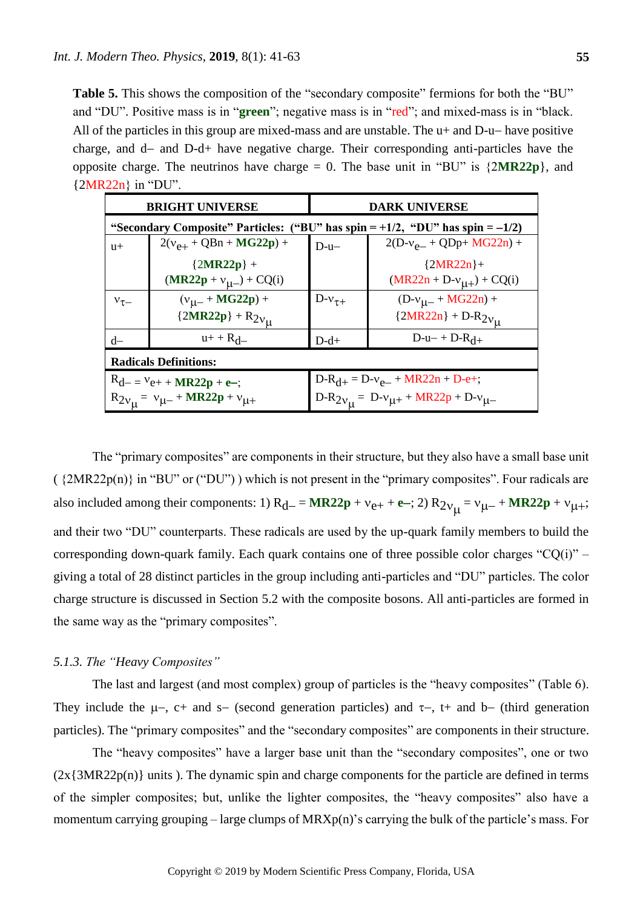Table 5. This shows the composition of the "secondary composite" fermions for both the "BU" and "DU". Positive mass is in "**green**"; negative mass is in "red"; and mixed-mass is in "black. All of the particles in this group are mixed-mass and are unstable. The  $u+$  and  $D-u-$  have positive charge, and  $d$ - and  $D-d$ + have negative charge. Their corresponding anti-particles have the opposite charge. The neutrinos have charge  $= 0$ . The base unit in "BU" is  $\{2MR22p\}$ , and {2MR22n} in "DU".

| <b>BRIGHT UNIVERSE</b>                                                              |                              | <b>DARK UNIVERSE</b>                          |                                |  |
|-------------------------------------------------------------------------------------|------------------------------|-----------------------------------------------|--------------------------------|--|
| "Secondary Composite" Particles: ("BU" has spin = $+1/2$ , "DU" has spin = $-1/2$ ) |                              |                                               |                                |  |
| $u+$                                                                                | $2(v_{e+} + QBn + MG22p) +$  | $D-u-$                                        | $2(D-v_{e-} + QDp + MG22n) +$  |  |
|                                                                                     | ${2MR22p} +$                 |                                               | ${2MR22n}+$                    |  |
|                                                                                     | $(MR22p + v_{\mu-}) + CQ(i)$ |                                               | $(MR22n + D-v_{\mu+}) + CQ(i)$ |  |
| $v_{\tau-}$                                                                         | $(v_{\mu-} + MG22p) +$       | $D-v_{\tau+}$                                 | $(D-v_{\mu-} + MG22n) +$       |  |
|                                                                                     | ${2MR22p} + R_{2v_{\mu}}$    |                                               | ${2MR22n} + D-R_{2v_{\mu}}$    |  |
| $d-$                                                                                | $u + + R_d$                  | $D-d+$                                        | $D-u-+D-R_{d+}$                |  |
| <b>Radicals Definitions:</b>                                                        |                              |                                               |                                |  |
| $D-R_{d+} = D-v_{e-} + MR22n + D-e+$ ;<br>$R_{d-} = V_{e+} + MR22p + e$ ;           |                              |                                               |                                |  |
| $R_{2v_{11}} = v_{\mu-} + MR22p + v_{\mu+}$                                         |                              | $D-R_{2v_{11}} = D-v_{11} + MR22p + D-v_{11}$ |                                |  |

The "primary composites" are components in their structure, but they also have a small base unit  $({2MR22p(n)}$  in "BU" or ("DU")) which is not present in the "primary composites". Four radicals are also included among their components: 1)  $R_{d-} = MR22p + v_{e+} + e^-$ ; 2)  $R_{2v_{\mu}} = v_{\mu-} + MR22p + v_{\mu+}$ ; and their two "DU" counterparts. These radicals are used by the up-quark family members to build the corresponding down-quark family. Each quark contains one of three possible color charges " $CQ(i)$ " – giving a total of 28 distinct particles in the group including anti-particles and "DU" particles. The color charge structure is discussed in Section 5.2 with the composite bosons. All anti-particles are formed in the same way as the "primary composites".

# *5.1.3. The "Heavy Composites"*

The last and largest (and most complex) group of particles is the "heavy composites" (Table 6). They include the  $\mu$ -, c+ and s- (second generation particles) and  $\tau$ -, t+ and b- (third generation particles). The "primary composites" and the "secondary composites" are components in their structure.

The "heavy composites" have a larger base unit than the "secondary composites", one or two  $(2x{3MR22p(n)}$  units ). The dynamic spin and charge components for the particle are defined in terms of the simpler composites; but, unlike the lighter composites, the "heavy composites" also have a momentum carrying grouping – large clumps of MRXp(n)'s carrying the bulk of the particle's mass. For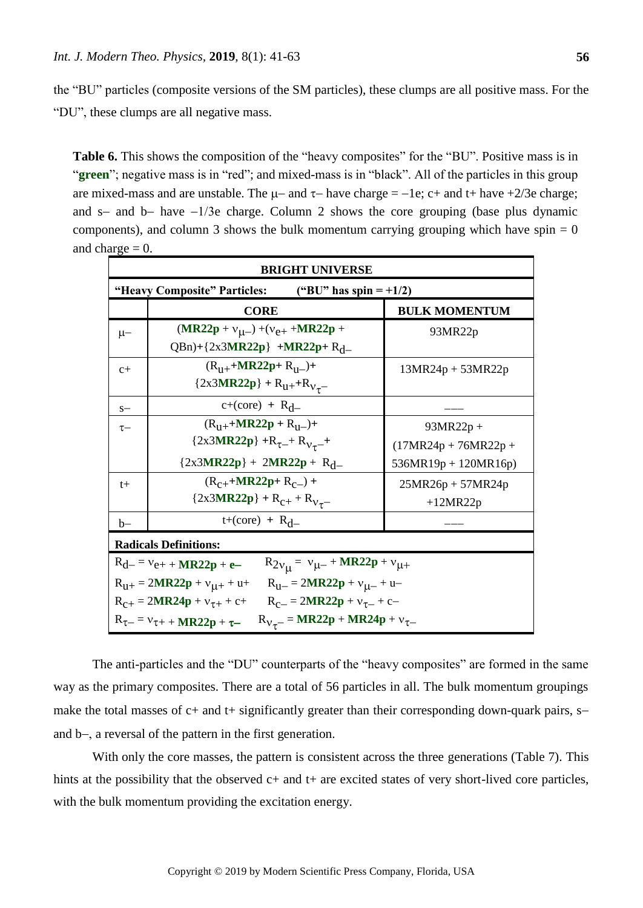the "BU" particles (composite versions of the SM particles), these clumps are all positive mass. For the "DU", these clumps are all negative mass.

**Table 6.** This shows the composition of the "heavy composites" for the "BU". Positive mass is in "**green**"; negative mass is in "red"; and mixed-mass is in "black". All of the particles in this group are mixed-mass and are unstable. The  $\mu$ - and  $\tau$ - have charge = -1e; c+ and t+ have +2/3e charge; and s- and b- have  $-1/3e$  charge. Column 2 shows the core grouping (base plus dynamic components), and column 3 shows the bulk momentum carrying grouping which have spin  $= 0$ and charge  $= 0$ .

| <b>BRIGHT UNIVERSE</b>                                                                |                                              |                        |  |  |
|---------------------------------------------------------------------------------------|----------------------------------------------|------------------------|--|--|
| "Heavy Composite" Particles: $($ "BU" has spin = +1/2)                                |                                              |                        |  |  |
|                                                                                       | <b>CORE</b>                                  | <b>BULK MOMENTUM</b>   |  |  |
| $\mu-$                                                                                | $(MR22p + v_{\mu-}) + (v_{e+} + MR22p +$     | 93MR22p                |  |  |
|                                                                                       | QBn)+{2x3MR22p} +MR22p+ R <sub>d</sub> _     |                        |  |  |
| $c +$                                                                                 | $(R_{11+}+MR22p+R_{11-})+$                   | $13MR24p + 53MR22p$    |  |  |
|                                                                                       | ${2x3MR22p} + R_{u+} + R_{v_{\tau}}$         |                        |  |  |
| $S-$                                                                                  | $c+(core) + R_d$                             |                        |  |  |
| $\tau-$                                                                               | $(R_{11+}+MR22p + R_{11-})+$                 | $93MR22p +$            |  |  |
|                                                                                       | ${2x3MR22p} + R_{\tau^-} + R_{V_{\tau}^-} +$ | $(17MR24p + 76MR22p +$ |  |  |
|                                                                                       | ${2x3MR22p} + 2MR22p + R_d$                  | 536MR19p + 120MR16p)   |  |  |
| $t+$                                                                                  | $(R_{C+}+MR22p+R_{C-})+$                     | $25MR26p + 57MR24p$    |  |  |
|                                                                                       | ${2x3MR22p} + R_{c+} + R_{V_{\tau}}$         | $+12MR22p$             |  |  |
| $b-$                                                                                  | $t+(core) + R_d$                             |                        |  |  |
| <b>Radicals Definitions:</b>                                                          |                                              |                        |  |  |
| $R_{2v_{\mu}} = v_{\mu-} + MR22p + v_{\mu+}$<br>$R_{d-} = v_{e+} + MR22p + e-$        |                                              |                        |  |  |
| $R_{U+} = 2MR22p + v_{U+} + u + R_{U-} = 2MR22p + v_{U-} + u -$                       |                                              |                        |  |  |
| $R_{C+} = 2MR24p + v_{\tau+} + c+$<br>$R_{c-} = 2MR22p + v_{\tau-} + c-$              |                                              |                        |  |  |
| $R_{V_{\tau}} = MR22p + MR24p + v_{\tau-}$<br>$R_{\tau-} = v_{\tau+} + MR22p + \tau-$ |                                              |                        |  |  |

The anti-particles and the "DU" counterparts of the "heavy composites" are formed in the same way as the primary composites. There are a total of 56 particles in all. The bulk momentum groupings make the total masses of  $c+$  and  $t+$  significantly greater than their corresponding down-quark pairs,  $s$ and  $b$ -, a reversal of the pattern in the first generation.

With only the core masses, the pattern is consistent across the three generations (Table 7). This hints at the possibility that the observed  $c+$  and  $t+$  are excited states of very short-lived core particles, with the bulk momentum providing the excitation energy.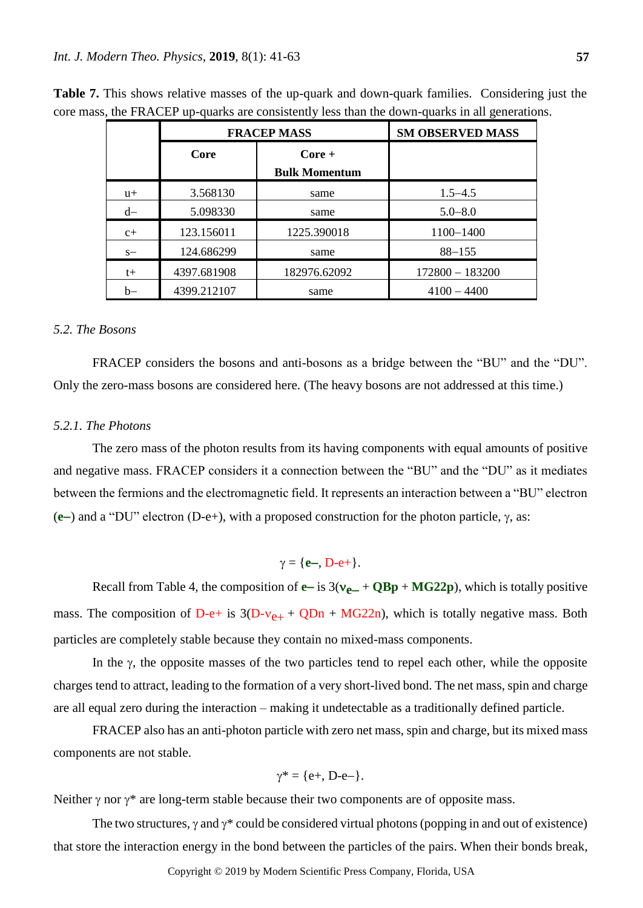|       | <b>FRACEP MASS</b> |                      | <b>SM OBSERVED MASS</b> |
|-------|--------------------|----------------------|-------------------------|
|       | Core               | $Core +$             |                         |
|       |                    | <b>Bulk Momentum</b> |                         |
| $u+$  | 3.568130           | same                 | $1.5 - 4.5$             |
| $d-$  | 5.098330           | same                 | $5.0 - 8.0$             |
| $c +$ | 123.156011         | 1225.390018          | 1100-1400               |
| $S-$  | 124.686299         | same                 | $88 - 155$              |
| $t+$  | 4397.681908        | 182976.62092         | $172800 - 183200$       |
| b-    | 4399.212107        | same                 | $4100 - 4400$           |

**Table 7.** This shows relative masses of the up-quark and down-quark families. Considering just the core mass, the FRACEP up-quarks are consistently less than the down-quarks in all generations.

## *5.2. The Bosons*

FRACEP considers the bosons and anti-bosons as a bridge between the "BU" and the "DU". Only the zero-mass bosons are considered here. (The heavy bosons are not addressed at this time.)

## *5.2.1. The Photons*

The zero mass of the photon results from its having components with equal amounts of positive and negative mass. FRACEP considers it a connection between the "BU" and the "DU" as it mediates between the fermions and the electromagnetic field. It represents an interaction between a "BU" electron  $(e-)$  and a "DU" electron  $(D-e+)$ , with a proposed construction for the photon particle,  $\gamma$ , as:

# $\gamma = {\bf e}$ , D-e+}.

Recall from Table 4, the composition of  $e$  – is  $3(v_{e-} + QBp + MG22p)$ , which is totally positive mass. The composition of D-e+ is  $3(D-v_{e+} + QDn + MG22n)$ , which is totally negative mass. Both particles are completely stable because they contain no mixed-mass components.

In the  $\gamma$ , the opposite masses of the two particles tend to repel each other, while the opposite charges tend to attract, leading to the formation of a very short-lived bond. The net mass, spin and charge are all equal zero during the interaction – making it undetectable as a traditionally defined particle.

FRACEP also has an anti-photon particle with zero net mass, spin and charge, but its mixed mass components are not stable.

$$
\gamma^* = \{e^+, D^-e^-\}.
$$

Neither  $\gamma$  nor  $\gamma^*$  are long-term stable because their two components are of opposite mass.

The two structures,  $\gamma$  and  $\gamma^*$  could be considered virtual photons (popping in and out of existence) that store the interaction energy in the bond between the particles of the pairs. When their bonds break,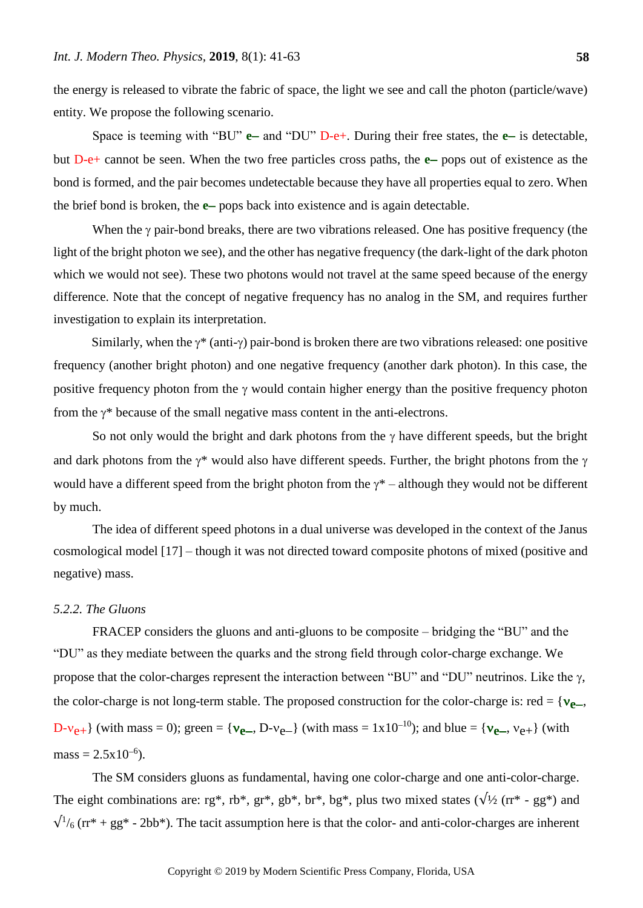**58**

the energy is released to vibrate the fabric of space, the light we see and call the photon (particle/wave) entity. We propose the following scenario.

Space is teeming with "BU" **e**- and "DU" D-e+. During their free states, the **e**- is detectable, but D-e+ cannot be seen. When the two free particles cross paths, the **e**- pops out of existence as the bond is formed, and the pair becomes undetectable because they have all properties equal to zero. When the brief bond is broken, the **e**-pops back into existence and is again detectable.

When the  $\gamma$  pair-bond breaks, there are two vibrations released. One has positive frequency (the light of the bright photon we see), and the other has negative frequency (the dark-light of the dark photon which we would not see). These two photons would not travel at the same speed because of the energy difference. Note that the concept of negative frequency has no analog in the SM, and requires further investigation to explain its interpretation.

Similarly, when the  $\gamma^*$  (anti- $\gamma$ ) pair-bond is broken there are two vibrations released: one positive frequency (another bright photon) and one negative frequency (another dark photon). In this case, the positive frequency photon from the  $\gamma$  would contain higher energy than the positive frequency photon from the  $\gamma^*$  because of the small negative mass content in the anti-electrons.

So not only would the bright and dark photons from the  $\gamma$  have different speeds, but the bright and dark photons from the  $\gamma^*$  would also have different speeds. Further, the bright photons from the  $\gamma$ would have a different speed from the bright photon from the  $\gamma^*$  – although they would not be different by much.

The idea of different speed photons in a dual universe was developed in the context of the Janus cosmological model [17] – though it was not directed toward composite photons of mixed (positive and negative) mass.

## *5.2.2. The Gluons*

FRACEP considers the gluons and anti-gluons to be composite – bridging the "BU" and the "DU" as they mediate between the quarks and the strong field through color-charge exchange. We propose that the color-charges represent the interaction between "BU" and "DU" neutrinos. Like the  $\gamma$ , the color-charge is not long-term stable. The proposed construction for the color-charge is: red = { $v_{\text{e}}$ <sub>0</sub>,  $D-v_{e+}$ } (with mass = 0); green = { $v_{e-}$ ,  $D-v_{e-}$ } (with mass = 1x10<sup>-10</sup>); and blue = { $v_{e-}$ ,  $v_{e+}$ } (with  $mass = 2.5 \times 10^{-6}$ ).

The SM considers gluons as fundamental, having one color-charge and one anti-color-charge. The eight combinations are: rg\*, rb\*, gr\*, gb\*, br\*, bg\*, plus two mixed states ( $\sqrt{2}$  (rr\* - gg\*) and  $\sqrt{1/6}$  (rr<sup>\*</sup> + gg<sup>\*</sup> - 2bb<sup>\*</sup>). The tacit assumption here is that the color- and anti-color-charges are inherent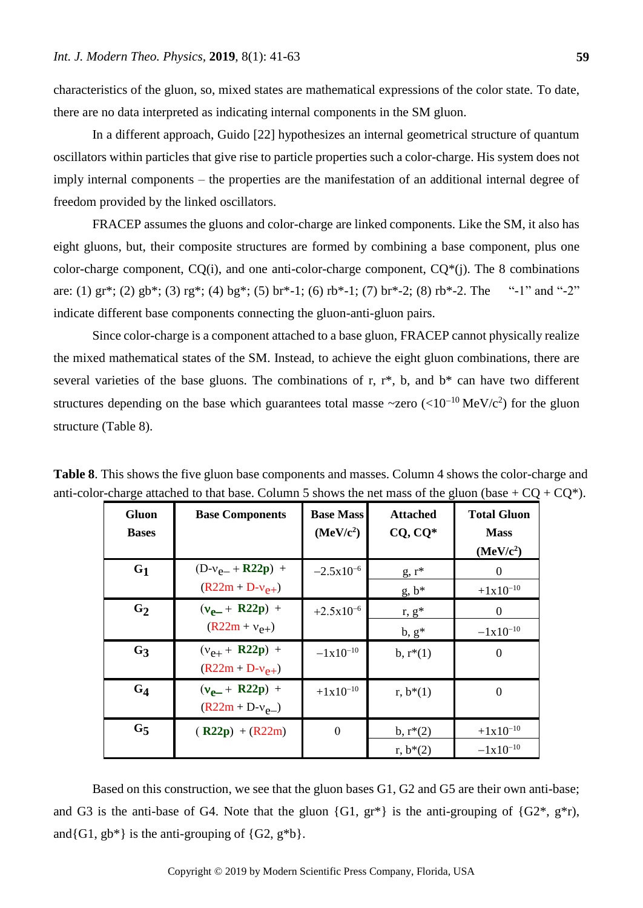characteristics of the gluon, so, mixed states are mathematical expressions of the color state. To date, there are no data interpreted as indicating internal components in the SM gluon.

In a different approach, Guido [22] hypothesizes an internal geometrical structure of quantum oscillators within particles that give rise to particle properties such a color-charge. His system does not imply internal components – the properties are the manifestation of an additional internal degree of freedom provided by the linked oscillators.

FRACEP assumes the gluons and color-charge are linked components. Like the SM, it also has eight gluons, but, their composite structures are formed by combining a base component, plus one color-charge component,  $CO(i)$ , and one anti-color-charge component,  $CO<sup>*</sup>(i)$ . The 8 combinations are: (1) gr<sup>\*</sup>; (2) gb<sup>\*</sup>; (3) rg<sup>\*</sup>; (4) bg<sup>\*</sup>; (5) br<sup>\*</sup>-1; (6) rb<sup>\*</sup>-1; (7) br<sup>\*</sup>-2; (8) rb<sup>\*</sup>-2. The "-1" and "-2" indicate different base components connecting the gluon-anti-gluon pairs.

Since color-charge is a component attached to a base gluon, FRACEP cannot physically realize the mixed mathematical states of the SM. Instead, to achieve the eight gluon combinations, there are several varieties of the base gluons. The combinations of r,  $r^*$ , b, and  $b^*$  can have two different structures depending on the base which guarantees total masse  $\sim$ zero (<10<sup>-10</sup> MeV/c<sup>2</sup>) for the gluon structure (Table 8).

| Gluon<br><b>Bases</b> | <b>Base Components</b>                     | <b>Base Mass</b><br>(MeV/c <sup>2</sup> ) | <b>Attached</b><br>$CQ, CQ^*$    | <b>Total Gluon</b><br><b>Mass</b><br>(MeV/c <sup>2</sup> ) |
|-----------------------|--------------------------------------------|-------------------------------------------|----------------------------------|------------------------------------------------------------|
| G <sub>1</sub>        | $(D-v_{e-} + R22p)$ +                      | $-2.5x10^{-6}$                            | $g, r^*$                         | 0                                                          |
|                       | $(R22m + D-v_{e+})$                        |                                           | $g, b^*$                         | $+1x10^{-10}$                                              |
| G <sub>2</sub>        | $(v_{\rho-} + R22p)$ +                     | $+2.5x10^{-6}$                            | $\underline{r}, \underline{g}^*$ | $\Omega$                                                   |
|                       | $(R22m + v_{e+})$                          |                                           | $b, g^*$                         | $-1x10^{-10}$                                              |
| G <sub>3</sub>        | $(v_{e+} + R22p)$ +<br>$(R22m + D-v_{e+})$ | $-1x10^{-10}$                             | $b, r*(1)$                       | $\theta$                                                   |
| $G_4$                 | $(v_{e-} + R22p)$ +<br>$(R22m + D-v_{e-})$ | $+1x10^{-10}$                             | $r, b*(1)$                       | $\Omega$                                                   |
| G <sub>5</sub>        | $(R22p) + (R22m)$                          | $\theta$                                  | $b, r*(2)$                       | $+1x10^{-10}$                                              |
|                       |                                            |                                           | $r, b*(2)$                       | $-1x10^{-10}$                                              |

**Table 8**. This shows the five gluon base components and masses. Column 4 shows the color-charge and anti-color-charge attached to that base. Column 5 shows the net mass of the gluon (base +  $CQ + CQ^*$ ).

Based on this construction, we see that the gluon bases G1, G2 and G5 are their own anti-base; and G3 is the anti-base of G4. Note that the gluon  $\{G1, gr^*\}$  is the anti-grouping of  $\{G2^*, gr^*\}$ , and $\{G1, gb^*\}$  is the anti-grouping of  $\{G2, g^*b\}$ .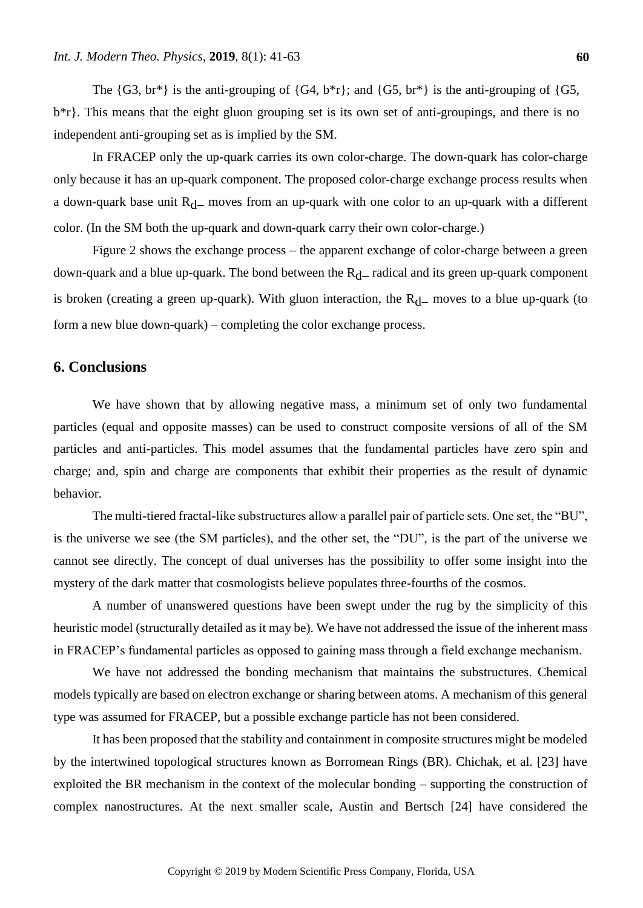The  $\{G3, br^*\}\$ is the anti-grouping of  $\{G4, b^*r\}$ ; and  $\{G5, br^*\}\$ is the anti-grouping of  $\{G5,$  $b^*$ r}. This means that the eight gluon grouping set is its own set of anti-groupings, and there is no independent anti-grouping set as is implied by the SM.

In FRACEP only the up-quark carries its own color-charge. The down-quark has color-charge only because it has an up-quark component. The proposed color-charge exchange process results when a down-quark base unit  $R_d$  moves from an up-quark with one color to an up-quark with a different color. (In the SM both the up-quark and down-quark carry their own color-charge.)

Figure 2 shows the exchange process – the apparent exchange of color-charge between a green down-quark and a blue up-quark. The bond between the  $R<sub>d</sub>$  radical and its green up-quark component is broken (creating a green up-quark). With gluon interaction, the  $R_d$  moves to a blue up-quark (to form a new blue down-quark) – completing the color exchange process.

# **6. Conclusions**

We have shown that by allowing negative mass, a minimum set of only two fundamental particles (equal and opposite masses) can be used to construct composite versions of all of the SM particles and anti-particles. This model assumes that the fundamental particles have zero spin and charge; and, spin and charge are components that exhibit their properties as the result of dynamic behavior.

The multi-tiered fractal-like substructures allow a parallel pair of particle sets. One set, the "BU", is the universe we see (the SM particles), and the other set, the "DU", is the part of the universe we cannot see directly. The concept of dual universes has the possibility to offer some insight into the mystery of the dark matter that cosmologists believe populates three-fourths of the cosmos.

A number of unanswered questions have been swept under the rug by the simplicity of this heuristic model (structurally detailed as it may be). We have not addressed the issue of the inherent mass in FRACEP's fundamental particles as opposed to gaining mass through a field exchange mechanism.

We have not addressed the bonding mechanism that maintains the substructures. Chemical models typically are based on electron exchange or sharing between atoms. A mechanism of this general type was assumed for FRACEP, but a possible exchange particle has not been considered.

It has been proposed that the stability and containment in composite structures might be modeled by the intertwined topological structures known as Borromean Rings (BR). Chichak, et al. [23] have exploited the BR mechanism in the context of the molecular bonding – supporting the construction of complex nanostructures. At the next smaller scale, Austin and Bertsch [24] have considered the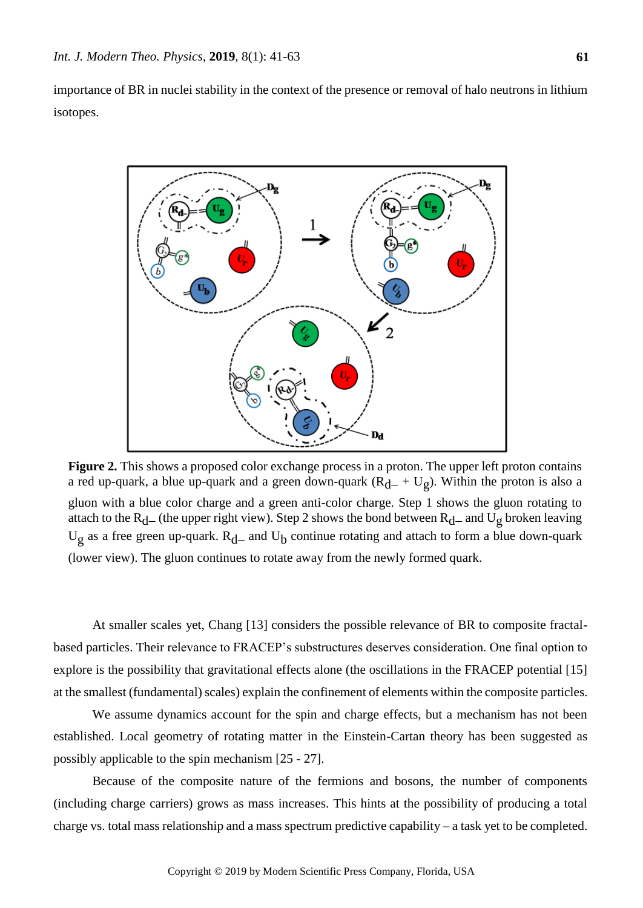importance of BR in nuclei stability in the context of the presence or removal of halo neutrons in lithium isotopes.



**Figure 2.** This shows a proposed color exchange process in a proton. The upper left proton contains a red up-quark, a blue up-quark and a green down-quark  $(R_{d-} + U_g)$ . Within the proton is also a gluon with a blue color charge and a green anti-color charge. Step 1 shows the gluon rotating to attach to the R<sub>d</sub> (the upper right view). Step 2 shows the bond between R<sub>d</sub> and U<sub>g</sub> broken leaving  $U_g$  as a free green up-quark.  $R_d$  and  $U_b$  continue rotating and attach to form a blue down-quark (lower view). The gluon continues to rotate away from the newly formed quark.

At smaller scales yet, Chang [13] considers the possible relevance of BR to composite fractalbased particles. Their relevance to FRACEP's substructures deserves consideration. One final option to explore is the possibility that gravitational effects alone (the oscillations in the FRACEP potential [15] at the smallest (fundamental) scales) explain the confinement of elements within the composite particles.

We assume dynamics account for the spin and charge effects, but a mechanism has not been established. Local geometry of rotating matter in the Einstein-Cartan theory has been suggested as possibly applicable to the spin mechanism [25 - 27].

Because of the composite nature of the fermions and bosons, the number of components (including charge carriers) grows as mass increases. This hints at the possibility of producing a total charge vs. total mass relationship and a mass spectrum predictive capability – a task yet to be completed.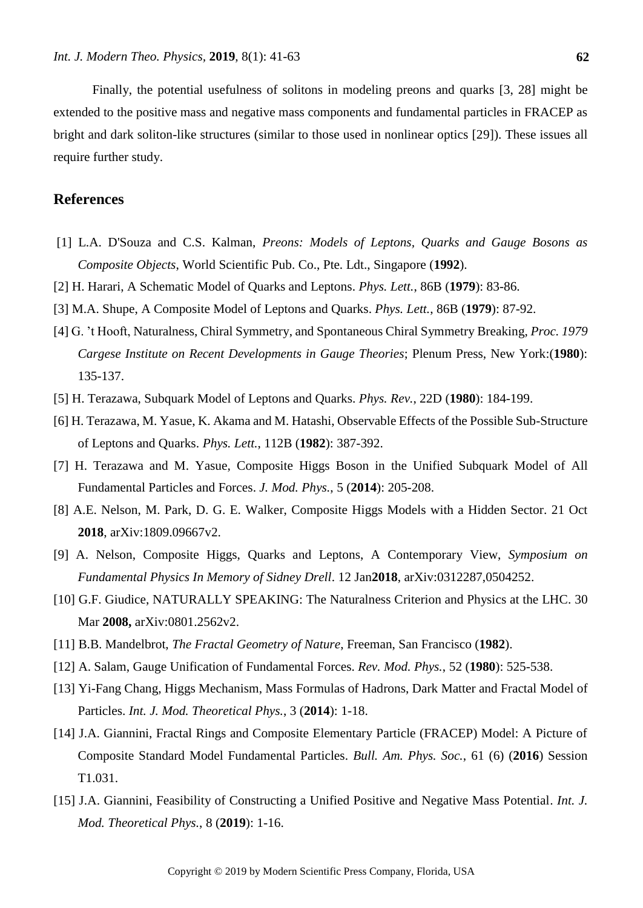Finally, the potential usefulness of solitons in modeling preons and quarks [3, 28] might be extended to the positive mass and negative mass components and fundamental particles in FRACEP as bright and dark soliton-like structures (similar to those used in nonlinear optics [29]). These issues all require further study.

# **References**

- [1] L.A. D'Souza and C.S. Kalman, *Preons: Models of Leptons, Quarks and Gauge Bosons as Composite Objects*, World Scientific Pub. Co., Pte. Ldt., Singapore (**1992**).
- [2] H. Harari, A Schematic Model of Quarks and Leptons. *Phys. Lett.*, 86B (**1979**): 83-86.
- [3] M.A. Shupe, A Composite Model of Leptons and Quarks. *Phys. Lett.*, 86B (**1979**): 87-92.
- [4] G. 't Hooft, Naturalness, Chiral Symmetry, and Spontaneous Chiral Symmetry Breaking, *Proc. 1979 Cargese Institute on Recent Developments in Gauge Theories*; Plenum Press, New York:(**1980**): 135-137.
- [5] H. Terazawa, Subquark Model of Leptons and Quarks. *Phys. Rev.*, 22D (**1980**): 184-199.
- [6] H. Terazawa, M. Yasue, K. Akama and M. Hatashi, Observable Effects of the Possible Sub-Structure of Leptons and Quarks. *Phys. Lett.*, 112B (**1982**): 387-392.
- [7] H. Terazawa and M. Yasue, Composite Higgs Boson in the Unified Subquark Model of All Fundamental Particles and Forces. *J. Mod. Phys.*, 5 (**2014**): 205-208.
- [8] A.E. Nelson, M. Park, D. G. E. Walker, Composite Higgs Models with a Hidden Sector. 21 Oct **2018**, arXiv:1809.09667v2.
- [9] A. Nelson, Composite Higgs, Quarks and Leptons, A Contemporary View, *Symposium on Fundamental Physics In Memory of Sidney Drell*. 12 Jan**2018**, arXiv:0312287,0504252.
- [10] G.F. Giudice, NATURALLY SPEAKING: The Naturalness Criterion and Physics at the LHC. 30 Mar **2008,** arXiv:0801.2562v2.
- [11] B.B. Mandelbrot, *The Fractal Geometry of Nature*, Freeman, San Francisco (**1982**).
- [12] A. Salam, Gauge Unification of Fundamental Forces. *Rev. Mod. Phys.*, 52 (**1980**): 525-538.
- [13] Yi-Fang Chang, Higgs Mechanism, Mass Formulas of Hadrons, Dark Matter and Fractal Model of Particles. *Int. J. Mod. Theoretical Phys.*, 3 (**2014**): 1-18.
- [14] J.A. Giannini, Fractal Rings and Composite Elementary Particle (FRACEP) Model: A Picture of Composite Standard Model Fundamental Particles. *Bull. Am. Phys. Soc.*, 61 (6) (**2016**) Session T1.031.
- [15] J.A. Giannini, Feasibility of Constructing a Unified Positive and Negative Mass Potential. *Int. J. Mod. Theoretical Phys.*, 8 (**2019**): 1-16.